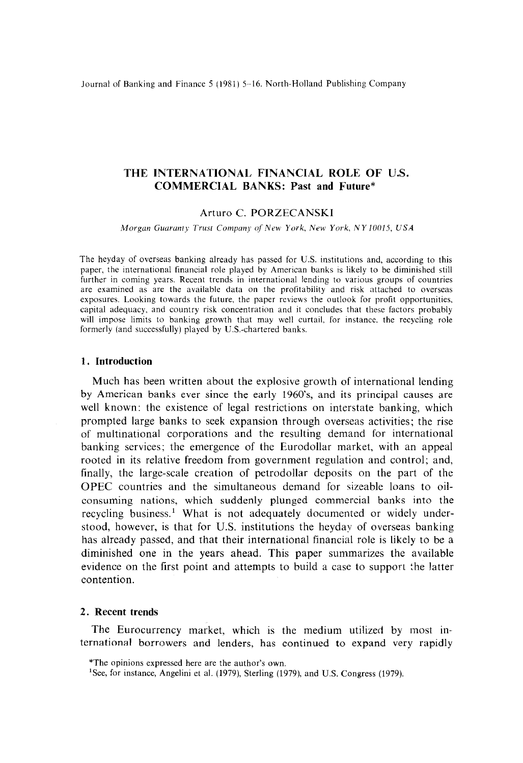Journal of Banking and Finance 5 (1981) 5-16. North-Holland Publishing Company

# **THE INTERNATIONAL FINANCIAL ROLE OF U.S. COMMERCIAL BANKS: Past and Future\***

# Arturo C. PORZECANSKI

Morgan Guaranty Trust Company of New York, New York, NY 10015, USA

The heyday of overseas banking already has passed for U.S. institutions and, according to this paper, the international financial role played by American banks is likely to be diminished still further in coming years. Recent trends in international lending to various groups of countries are examined as are the available data on the profitability and risk attached to overseas exposures. Looking towards the future, the paper reviews the outlook for profit opportunities, capital adequacy, and country risk concentration and it concludes that these factors probably will impose limits to banking growth that may well curtail, for instance. the recycling role formerly (and successfully) played by U.S.-chartered banks.

### **1. Introduction**

Much has been written about the explosive growth of international lending by American banks ever since the early 1960's, and its principal causes are well known: the existence of legal restrictions on interstate banking, which prompted large banks to seek expansion through overseas activities; the rise of multinational corporations and the resulting demand for international banking services; the emergence of the Eurodollar market, with an appeal rooted in its relative freedom from government regulation and control; and, finally, the large-scale creation of petrodollar deposits on the part of the OPEC countries and the simultaneous demand for sizeable loans to oilconsuming nations, which suddenly plunged commercial banks into the recycling business.' What is not adequately documented or widely understood, however, is that for U.S. institutions the heyday of overseas banking has already passed, and that their international financial role is likely to be a diminished one in the years ahead. This paper summarizes the available evidence on the first point and attempts to build a case to support the latter contention.

## 2. **Recent trends**

The Eurocurrency market, which is the medium utilized by most international borrowers and lenders, has continued to expand very rapidly

<sup>\*</sup>The opinions expressed here are the author's own.

<sup>&#</sup>x27;See, for instance, Angelini et al. (1979), Sterling (1979), and U.S. Congress (1979).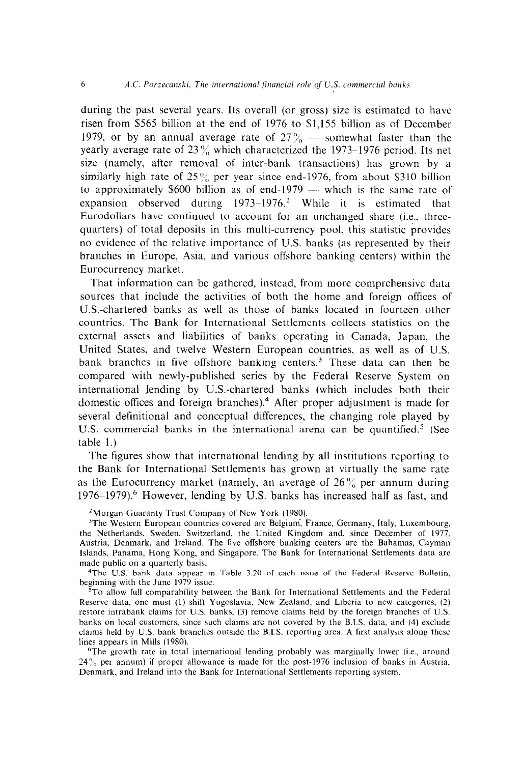during the past several years. Its overall (or gross) size is estimated to have risen from \$565 billion at the end of 1976 to \$1,155 billion as of December 1979, or by an annual average rate of  $27\%$  - somewhat faster than the yearly average rate of 23  $\%$  which characterized the 1973-1976 period. Its net size (namely, after removal of inter-bank transactions) has grown by a similarly high rate of  $25\%$  per year since end-1976, from about \$310 billion to approximately \$600 billion as of end-1979 - which is the same rate of expansion observed during  $1973-1976$ .<sup>2</sup> While it is estimated that Eurodollars have continued to account for an unchanged share (i.e., threequarters) of total deposits in this multi-currency pool, this statistic provides no evidence of the relative importance of U.S. banks (as represented by their branches in Europe, Asia, and various offshore banking centers) within the Eurocurrency market.

That information can be gathered, instead, from more comprehensive data sources that include the activities of both the home and foreign offices of U.S.-chartered banks as well as those of banks located m fourteen other countries. The Bank for International Settlements collects statistics on the external assets and liabilities of banks operating in Canada, Japan, the United States, and twelve Western European countries, as well as of U.S. bank branches in five offshore banking centers.<sup>3</sup> These data can then be compared with newly-published series by the Federal Reserve System on international lending by U.S.-chartered banks (which includes both their domestic offices and foreign branches).<sup>4</sup> After proper adjustment is made for several definitional and conceptual differences, the changing role played by U.S. commercial banks in the international arena can be quantified.<sup>5</sup> (See table 1.)

The figures show that international lending by all institutions reporting to the Bank for International Settlements has grown at virtually the same rate as the Eurocurrency market (namely, an average of  $26\%$  per annum during  $1976-1979$ .<sup>6</sup> However, lending by U.S. banks has increased half as fast, and

'Morgan Guaranty Trust Company of New York (1980).

<sup>3</sup>The Western European countries covered are Belgium, France, Germany, Italy, Luxembourg, the Netherlands, Sweden, Switzerland, the United Kingdom and, since December of 1977, Austria, Denmark. and Ireland. The five offshore banking centers are the Bahamas, Cayman Islands, Panama, Hong Kong, and Singapore. The Bank for International Settlements data are made public on a quarterly basis.

4The U.S. bank data appear in Table 3.20 of each issue of the Federal Reserve Bulletin, beginning with the June 1979 issue.

 $\bar{5}$ To allow full comparability between the Bank for International Settlements and the Federal Reserve data, one must (1) shift Yugoslavia, New Zealand, and Liberia to new categories, (2) restore intrabank claims for U.S. banks, (3) remove claims held by the foreign branches of US. banks on local customers, since such claims are not covered by the B.I.S. data. and (4) exclude claims held by U.S. bank branches outside the B.I.S. reporting area. A first analysis along these lines appears in Mills (1980).

6The growth rate in total international lending probably was marginally lower (i.e., around  $24\%$  per annum) if proper allowance is made for the post-1976 inclusion of banks in Austria, Denmark, and Ireland into the Bank for International Settlements reporting system.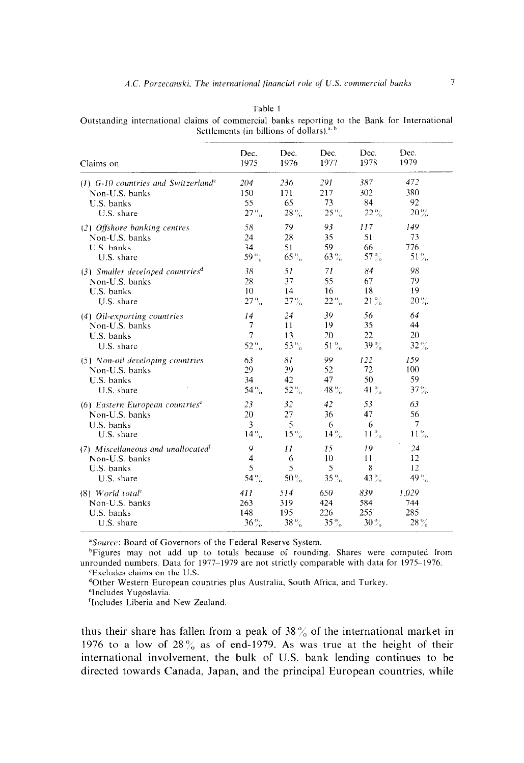| Claims on                                         | Dec.              | Dec.    | Dec.   | Dec.                 | Dec.              |
|---------------------------------------------------|-------------------|---------|--------|----------------------|-------------------|
|                                                   | 1975              | 1976    | 1977   | 1978                 | 1979              |
| $(1)$ G-10 countries and Switzerland <sup>e</sup> | 204               | 236     | 291    | 387                  | 472               |
| Non-U.S. banks                                    | 150               | 171     | 217    | 302                  | 380               |
| U.S. banks                                        | 55                | 65      | 73     | 84                   | 92                |
| U.S. share                                        | $27\%$            | $28\%$  | $25\%$ | $22\%$               | $20 \%$           |
| (2) Offshore banking centres                      | 58                | 79      | 93     | 117                  | 149               |
| Non-U.S. banks                                    | 24                | 28      | 35     | 51                   | 73                |
| U.S. banks                                        | 34                | 51      | 59     | 66                   | 776               |
| U.S. share                                        | 59 %              | $65\%$  | $63\%$ | $57\%$               | $51\%$            |
| $(3)$ Smaller developed countries <sup>d</sup>    | 38                | 51      | 71     | 84                   | 98                |
| Non-U.S. banks                                    | 28                | 37      | 55     | 67                   | 79                |
| U.S. banks                                        | 10                | 14      | 16     | 18                   | 19                |
| U.S. share                                        | $27\%$            | 27%     | $22\%$ | $21\%$               | $20\%$            |
| (4) Oil-exporting countries                       | 14                | 24      | 39     | 56                   | 64                |
| Non-U.S. banks                                    | $\overline{7}$    | 11      | 19     | 35                   | 44                |
| U.S. banks                                        | $\overline{7}$    | 13      | 20     | 22                   | 20                |
| U.S. share                                        | 52 $\frac{0}{10}$ | 53 $\%$ | $51\%$ | 39 %                 | $32\%$            |
| (5) Non-oil developing countries                  | 63                | 81      | 99     | 122                  | 159               |
| Non-U.S. banks                                    | 29                | 39      | 52     | 72                   | 100               |
| U.S. banks                                        | 34                | 42      | 47     | 50                   | 59                |
| U.S. share                                        | 54%               | $52\%$  | 48%    | 41 $\frac{0.7}{1.0}$ | $37\%$            |
| $(6)$ Eastern European countries <sup>e</sup>     | 23                | 32      | 42     | 53                   | 63                |
| Non-U.S. banks                                    | 20                | 27      | 36     | 47                   | 56                |
| U.S. banks                                        | 3                 | 5       | 6      | 6                    | 7                 |
| U.S. share                                        | $14\%$            | $15\%$  | $14\%$ | $11\%$               | $11\%$            |
| $(7)$ Miscellaneous and unallocated <sup>t</sup>  | 9                 | 11      | 15     | 19                   | 24                |
| Non-U.S. banks                                    | 4                 | 6       | 10     | 11                   | 12                |
| U.S. banks                                        | 5                 | 5       | 5      | 8                    | 12                |
| U.S. share                                        | 54%               | $50\%$  | $35\%$ | 43%                  | 49 $\frac{6}{10}$ |
| $(8)$ World total <sup>c</sup>                    | 411               | 514     | 650    | 839                  | 1,029             |
| Non-U.S. banks                                    | 263               | 319     | 424    | 584                  | 744               |
| U.S. banks                                        | 148               | 195     | 226    | 255                  | 285               |
| U.S. share                                        | $36\%$            | 38%     | $35\%$ | $30\%$               | $28\%$            |

Table 1 Outstanding international claims of commercial banks reporting to the Bank for International Settlements (in billions of dollars).<sup>a, b</sup>

<sup>a</sup>Source: Board of Governors of the Federal Reserve System.

<sup>b</sup>Figures may not add up to totals because of rounding. Shares were computed from unrounded numbers. Data for 1977–1979 are not strictly comparable with data for 1975–1976. <sup>e</sup>Excludes claims on the U.S.

<sup>d</sup>Other Western European countries plus Australia, South Africa, and Turkey.

<sup>e</sup>Includes Yugoslavia.

<sup>f</sup>Includes Liberia and New Zealand.

thus their share has fallen from a peak of  $38\%$  of the international market in 1976 to a low of  $28\%$  as of end-1979. As was true at the height of their international involvement, the bulk of U.S. bank lending continues to be directed towards Canada, Japan, and the principal European countries, while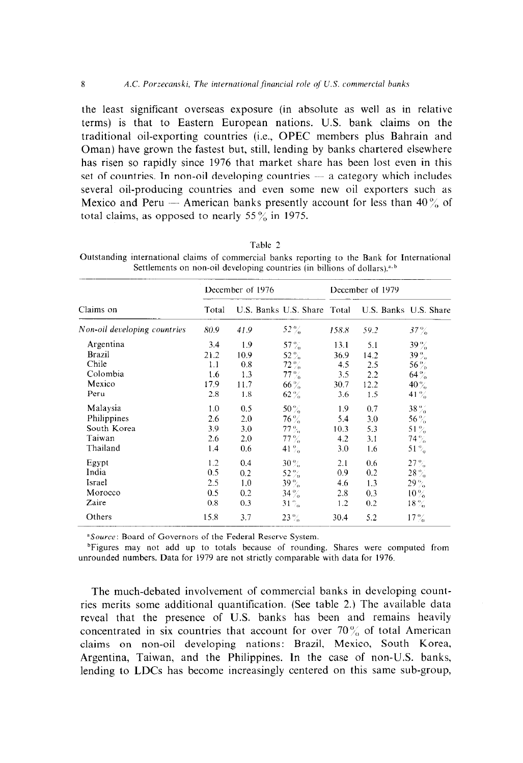the least significant overseas exposure (in absolute as well as in relative terms) is that to Eastern European nations. U.S. bank claims on the traditional oil-exporting countries (i.e., OPEC members plus Bahrain and Oman) have grown the fastest but, still, lending by banks chartered elsewhere has risen so rapidly since 1976 that market share has been lost even in this set of countries. In non-oil developing countries - a category which includes several oil-producing countries and even some new oil exporters such as Mexico and Peru – American banks presently account for less than  $40\%$  of total claims, as opposed to nearly 55 $\frac{9}{6}$  in 1975.

|                              |       | December of 1976            |                   | December of 1979 |                       |         |
|------------------------------|-------|-----------------------------|-------------------|------------------|-----------------------|---------|
| Claims on                    | Total | U.S. Banks U.S. Share Total |                   |                  | U.S. Banks U.S. Share |         |
| Non-oil developing countries | 80.9  | 41.9                        | $52\%$            | 158.8            | 59.2                  | $37\%$  |
| Argentina                    | 3.4   | 1.9                         | 57 $\%$           | 13.1             | 5.1                   | 39%     |
| <b>Brazil</b>                | 21.2  | 10.9                        | $52\%$            | 36.9             | 14.2                  | $39\%$  |
| Chile                        | 1.1   | 0.8                         | $72\%$            | 4.5              | 2.5                   | $56\%$  |
| Colombia                     | 1.6   | 1.3                         | $77\%$            | 3.5              | 2.2                   | $64 \%$ |
| Mexico                       | 17.9  | 11.7                        | 66%               | 30.7             | 12.2                  | $40\%$  |
| Peru                         | 2.8   | 1.8                         | $62\%$            | 3.6              | 1.5                   | 41 $\%$ |
| Malaysia                     | 1.0   | 0.5                         | $50\%$            | 19               | 0.7                   | $38\%$  |
| Philippines                  | 2.6   | 2.0                         | $76\%$            | 5.4              | 3.0                   | $56\%$  |
| South Korea                  | 3.9   | 3.0                         | $77\%$            | 10.3             | 5.3                   | 51 $\%$ |
| Taiwan                       | 2.6   | 2.0                         | $77\%$            | 4.2              | 3.1                   | $74\%$  |
| Thailand                     | 1.4   | 0.6                         | 41 $\frac{6}{10}$ | 3.0              | 1.6                   | 51 $\%$ |
| Egypt                        | 1.2   | 0.4                         | $30\%$            | 2.1              | 0.6                   | $27\%$  |
| India                        | 0.5   | 0.2                         | 52%               | 0.9              | 0.2                   | $28\%$  |
| Israel                       | 2.5   | 1.0                         | $39\,\%$          | 4.6              | 1.3                   | $29\%$  |
| Morocco                      | 0.5   | 0.2                         | $34\%$            | 2.8              | 0.3                   | $10\%$  |
| Zaire                        | 0.8   | 0.3                         | $31\%$            | 1.2              | 0.2                   | $18\%$  |
| Others                       | 15.8  | 3.7                         | $23\%$            | 30.4             | 5.2                   | $17\%$  |

Table 2

Outstanding international claims of commercial banks reporting to the Bank for International Settlements on non-oil developing countries (in billions of dollars).<sup>a, b</sup>

<sup>a</sup>Source: Board of Governors of the Federal Reserve System.

<sup>b</sup>Figures may not add up to totals because of rounding. Shares were computed from unrounded numbers. Data for 1979 are not strictly comparable with data for 1976.

The much-debated involvement of commercial banks in developing countries merits some additional quantification. (See table 2.) The available data reveal that the presence of U.S. banks has been and remains heavily concentrated in six countries that account for over  $70\%$  of total American claims on non-oil developing nations: Brazil, Mexico, South Korea, Argentina, Taiwan, and the Philippines. In the case of non-U.S. banks, lending to LDCs has become increasingly centered on this same sub-group,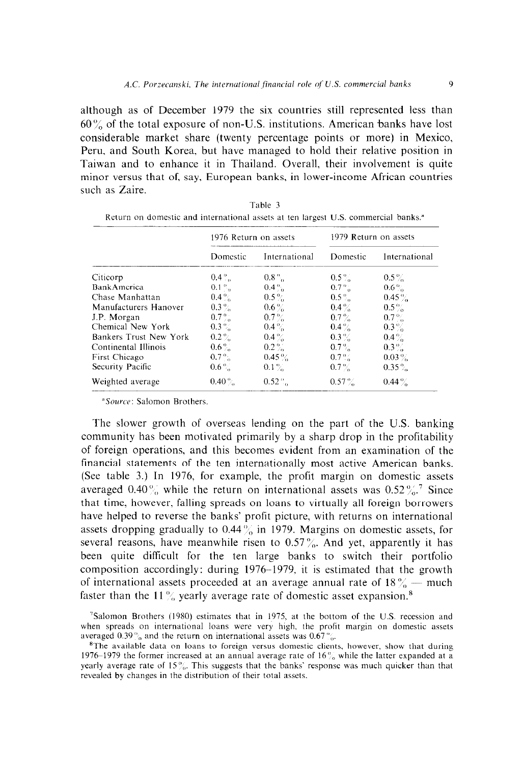although as of December 1979 the six countries still represented less than  $60\%$  of the total exposure of non-U.S. institutions. American banks have lost considerable market share (twenty percentage points or more) in Mexico, Peru, and South Korea, but have managed to hold their relative position in Taiwan and to enhance it in Thailand. Overall, their involvement is quite minor versus that of, say, European banks, in lower-income African countries such as Zaire.

|                        | 1976 Return on assets |               | 1979 Return on assets |               |  |
|------------------------|-----------------------|---------------|-----------------------|---------------|--|
|                        | Domestic              | International | Domestic              | International |  |
| Citicorp               | $0.4\degree$          | $0.8\%$ .     | $0.5\%$               | $0.5\%$       |  |
| <b>BankAmerica</b>     | $0.1\%$               | $0.4\%$       | $0.7\%$               | $0.6\%$       |  |
| Chase Manhattan        | $0.4\%$               | $0.5\%$       | $0.5\%$               | $0.45\%$      |  |
| Manufacturers Hanover  | $0.3\%$               | $0.6\%$       | $0.4\%$               | $0.5\%$       |  |
| J.P. Morgan            | $0.7\%$               | $0.7\%$       | $0.7\%$               | $0.7\%$       |  |
| Chemical New York      | $0.3\%$               | $0.4\%$       | $0.4\%$               | $0.3\%$       |  |
| Bankers Trust New York | $0.2\%$               | $0.4\%$       | $0.3\%$               | $0.4\%$       |  |
| Continental Illinois   | $0.6\%$               | $0.2\%$       | $0.7\%$               | $0.3\%$       |  |
| First Chicago          | $0.7\%$               | $0.45\%$      | $0.7\%$               | $0.03\%$      |  |
| Security Pacific       | $0.6\%$               | $0.1\%$       | $0.7\%$               | $0.35\%$      |  |
| Weighted average       | $0.40\%$              | $0.52\%$      | $0.57\%$              | $0.44\%$      |  |

| Table 3                                                                                        |  |
|------------------------------------------------------------------------------------------------|--|
| Return on domestic and international assets at ten largest U.S. commercial banks. <sup>*</sup> |  |

<sup>a</sup>Source: Salomon Brothers.

The slower growth of overseas lending on the part of the U.S. banking community has been motivated primarily by a sharp drop in the profitability of foreign operations, and this becomes evident from an examination of the financial statements of the ten internationally most active American banks. (See table 3.) In 1976, for example, the profit margin on domestic assets averaged 0.40  $\%$  while the return on international assets was 0.52  $\%$ .<sup>7</sup> Since that time, however, falling spreads on loans to virtually all foreign borrowers have helped to reverse the banks' profit picture, with returns on international assets dropping gradually to  $0.44\%$  in 1979. Margins on domestic assets, for several reasons, have meanwhile risen to  $0.57\%$ . And yet, apparently it has been quite difficult for the ten large banks to switch their portfolio composition accordingly: during 1976-1979, it is estimated that the growth of international assets proceeded at an average annual rate of  $18\%$  - much faster than the 11% yearly average rate of domestic asset expansion.<sup>8</sup>

 $\text{Ys}$ alomon Brothers (1980) estimates that in 1975, at the bottom of the U.S. recession and when spreads on international loans were very high, the profit margin on domestic assets averaged 0.39% and the return on international assets was 0.67%.

 ${}^{8}$ The available data on loans to foreign versus domestic clients, however, show that during 1976–1979 the former increased at an annual average rate of 16 $\frac{9}{6}$  while the latter expanded at a yearly average rate of 15%. This suggests that the banks' response was much quicker than that revealed by changes in the distribution of their total assets.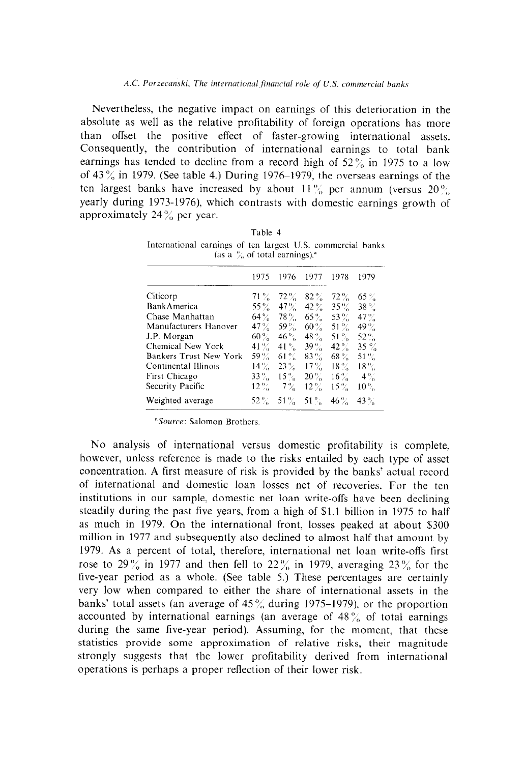Nevertheless, the negative impact on earnings of this deterioration in the absolute as well as the relative profitability of foreign operations has more than offset the positive effect of faster-growing international assets. Consequently, the contribution of international earnings to total bank earnings has tended to decline from a record high of  $52\%$  in 1975 to a low of 43 $\%$  in 1979. (See table 4.) During 1976-1979, the overseas earnings of the ten largest banks have increased by about  $11\%$  per annum (versus  $20\%$ ) yearly during 1973-1976), which contrasts with domestic earnings growth of approximately  $24\%$  per year.

| monumenta canning of the angele Cas, commercial paint<br>(as a $\%$ of total earnings). <sup>a</sup> |        |         |         |          |         |  |  |
|------------------------------------------------------------------------------------------------------|--------|---------|---------|----------|---------|--|--|
|                                                                                                      | 1975   | 1976    | 1977    | 1978     | 1979    |  |  |
| Citicorp                                                                                             | $71\%$ | $72\%$  | $82\%$  | $72\%$   | $65 \%$ |  |  |
| <b>Bank America</b>                                                                                  | $55\%$ | $47\%$  | $42 \%$ | $35\%$   | $38\%$  |  |  |
| Chase Manhattan                                                                                      | $64\%$ | $78\%$  | $65\%$  | $53\%$   | $47\%$  |  |  |
| Manufacturers Hanover                                                                                | $47\%$ | 59 $\%$ | $60\%$  | 51 $\%$  | 49 $\%$ |  |  |
| J.P. Morgan                                                                                          | $60\%$ | $46\%$  | $48 \%$ | $51\%$   | 52 %    |  |  |
| Chemical New York                                                                                    | $41\%$ | $41\%$  | $39\%$  | $42 \%$  | $35 \%$ |  |  |
| Bankers Trust New York                                                                               | 59 %   | $61\%$  | $83\%$  | $68\,\%$ | 51 $\%$ |  |  |
| Continental Illinois                                                                                 | $14\%$ | $23\%$  | $17\%$  | $18\%$   | $18\%$  |  |  |
| First Chicago                                                                                        | $33\%$ | $15\%$  | $20\%$  | $16\%$   | $-4\%$  |  |  |
| Security Pacific                                                                                     | $12\%$ | $7\%$   | $12 \%$ | $15\%$   | $10\%$  |  |  |
| Weighted average                                                                                     | $52\%$ | 51 $\%$ | $-51\%$ | $46\%$   | $43\%$  |  |  |

Table 4 International earnings of ten largest U.S. commercial banks

<sup>a</sup>Source: Salomon Brothers.

No analysis of international versus domestic profitability is complete, however, unless reference is made to the risks entailed by each type of asset concentration. A first measure of risk is provided by the banks' actual record of international and domestic loan losses net of recoveries. For the ten institutions in our sample, domestic net loan write-offs have been declining steadily during the past five years, from a high of \$1.1 billion in 1975 to half as much in 1979. On the international front, losses peaked at about \$300 million in 1977 and subsequently also declined to almost half that amount by 1979. As a percent of total, therefore, international net loan write-offs first rose to 29% in 1977 and then fell to 22% in 1979, averaging 23% for the five-year period as a whole. (See table 5.) These percentages are certainly very low when compared to either the share of international assets in the banks' total assets (an average of  $45\%$  during 1975–1979), or the proportion accounted by international earnings (an average of  $48\%$  of total earnings during the same five-year period). Assuming, for the moment, that these statistics provide some approximation of relative risks, their magnitude strongly suggests that the lower profitability derived from international operations is perhaps a proper reflection of their lower risk.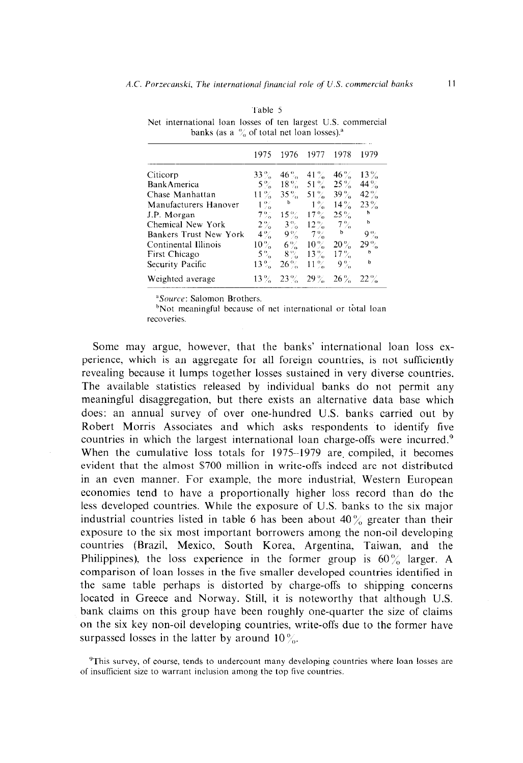|                        | 1975       | 1976        | 1977                 | 1978   | 1979        |
|------------------------|------------|-------------|----------------------|--------|-------------|
| Citicorp               | $33\%$     | $46\%$      | 41 $\%$              | $46\%$ | $13\%$      |
| Bank America           |            |             | $5\%$ 18% $51\%$     | $25\%$ | 44 $\%$     |
| Chase Manhattan        | $11\%$     | $35\%$      | 51 $\%$              | $39\%$ | $42\%$      |
| Manufacturers Hanover  | $1\%$      | b           | $1\%$                | $14\%$ | $23 \%$     |
| J.P. Morgan            | $7\%$      | $15\%$      | $17\%$               | $25\%$ | $\mathbf b$ |
| Chemical New York      |            | $2\% - 3\%$ | $12\%$               | $7\%$  | $\mathbf b$ |
| Bankers Trust New York |            | $4\% - 9\%$ | $-7\%$               | b      | $9\%$       |
| Continental Illinois   | $10\,\%$ – |             | $6\% - 10\%$         | $20\%$ | $29\%$      |
| First Chicago          | $5\%$      | $8\%$       | $13\%$               | $17\%$ | b           |
| Security Pacific       | $13\%$     | $26\%$      | $11\%$               | $9\%$  | b           |
| Weighted average       |            |             | $13\%$ $23\%$ $29\%$ | $26\%$ | $-22\%$     |

Table 5 Net international loan losses of ten largest U.S. commercial banks (as a  $\%$  of total net loan losses).<sup>a</sup>

<sup>a</sup>Source: Salomon Brothers.

<sup>b</sup>Not meaningful because of net international or total loan recoveries.

Some may argue, however, that the banks' international loan loss experience, which is an aggregate for all foreign countries, is not sufficiently revealing because it lumps together losses sustained in very diverse countries. The available statistics released by individual banks do not permit any meaningful disaggregation, but there exists an alternative data base which does: an annual survey of over one-hundred U.S. banks carried out by Robert Morris Associates and which asks respondents to identify five countries in which the largest international loan charge-offs were incurred.<sup>9</sup> When the cumulative loss totals for 1975-1979 are compiled, it becomes evident that the almost \$700 million in write-offs indeed are not distributed in an even manner. For example, the more industrial, Western European economies tend to have a proportionally higher loss record than do the less developed countries. While the exposure of U.S. banks to the six major industrial countries listed in table 6 has been about  $40\%$  greater than their exposure to the six most important borrowers among the non-oil developing countries (Brazil, Mexico, South Korea, Argentina, Taiwan, and the Philippines), the loss experience in the former group is  $60\%$  larger. A comparison of loan losses in the five smaller developed countries identified in the same table perhaps is distorted by charge-offs to shipping concerns located in Greece and Norway. Still, it is noteworthy that although U.S. bank claims on this group have been roughly one-quarter the size of claims on the six key non-oil developing countries, write-offs due to the former have surpassed losses in the latter by around 10 $\%$ .

<sup>&</sup>lt;sup>9</sup>This survey, of course, tends to undercount many developing countries where loan losses are of insufficient size to warrant inclusion among the top five countries.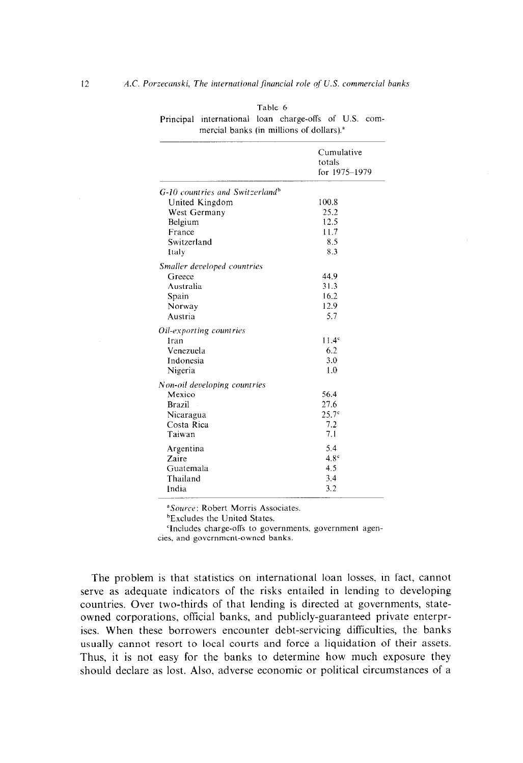|                                             | Cumulative        |
|---------------------------------------------|-------------------|
|                                             | totals            |
|                                             | for 1975-1979     |
| G-10 countries and Switzerland <sup>b</sup> |                   |
| United Kingdom                              | 100.8             |
| West Germany                                | 25.2              |
| Belgium                                     | 12.5              |
| France                                      | 11.7              |
| Switzerland                                 | 8.5               |
| Italy                                       | 8.3               |
| Smaller developed countries                 |                   |
| Greece                                      | 44.9              |
| Australia                                   | 31.3              |
| Spain                                       | 16.2              |
| Norway                                      | 12.9              |
| Austria                                     | 5.7               |
| Oil-exporting countries                     |                   |
| Iran                                        | 11.4 <sup>c</sup> |
| Venezuela                                   | 6.2               |
| Indonesia                                   | 3.0               |
| Nigeria                                     | 1.0               |
| Non-oil developing countries                |                   |
| Mexico                                      | 56.4              |
| <b>Brazil</b>                               | 27.6              |
| Nicaragua                                   | $25.7^{\circ}$    |
| Costa Rica                                  | 7.2               |
| Taiwan                                      | 7.1               |
| Argentina                                   | 5.4               |
| Zaire                                       | $4.8^\circ$       |
| Guatemala                                   | 4.5               |
| Thailand                                    | 3.4               |
| India                                       | 3.2               |

|                                                       | Table 6 |  |  |
|-------------------------------------------------------|---------|--|--|
| Principal international loan charge-offs of U.S. com- |         |  |  |
| mercial banks (in millions of dollars). <sup>3</sup>  |         |  |  |

"Source: Robert Morris Associates.

'Excludes the United States.

'Includes charge-offs to governments, government agencies. and government-owned banks.

The problem is that statistics on international loan losses, in fact, cannot serve as adequate indicators of the risks entailed in lending to developing countries. Over two-thirds of that lending is directed at governments, stateowned corporations, official banks, and publicly-guaranteed private enterprises. When these borrowers encounter debt-servicing difficulties, the banks usually cannot resort to local courts and force a liquidation of their assets. Thus, it is not easy for the banks to determine how much exposure they should declare as lost. Also, adverse economic or political circumstances of a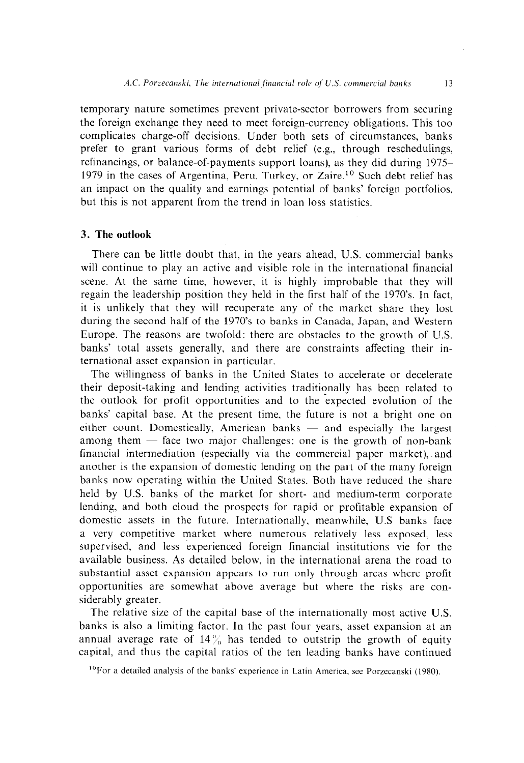temporary nature sometimes prevent private-sector borrowers from securing the foreign exchange they need to meet foreign-currency obligations. This too complicates charge-off decisions. Under both sets of circumstances, banks prefer to grant various forms of debt relief (e.g.. through reschedulings, refinancings, or balance-of-payments support loans), as they did during 1975- 1979 in the cases of Argentina, Peru, Turkey, or Zaire.<sup>10</sup> Such debt relief has an impact on the quality and earnings potential of banks' foreign portfolios, but this is not apparent from the trend in loan loss statistics.

## 3. **The outlook**

There can be little doubt that, in the years ahead, U.S. commercial banks will continue to play an active and visible role in the international financial scene. At the same time, however, it is highly improbable that they will regain the leadership position they held in the first half of the 1970's. In fact, it is unlikely that they will recuperate any of the market share they lost during the second half of the 1970's to banks in Canada, Japan, and Western Europe. The reasons are twofold: there are obstacles to the growth of U.S. banks' total assets generally, and there are constraints affecting their international asset expansion in particular.

The willingness of banks in the United States to accelerate or decelerate their deposit-taking and lending activities traditionally has been related to the outlook for profit opportunities and to the expected evolution of the banks' capital base. At the present time, the future is not a bright one on either count. Domestically, American banks  $-$  and especially the largest among them  $-$  face two major challenges: one is the growth of non-bank financial intermediation (especially via the commercial paper market), . and another is the expansion of domestic lending on the part of the many foreign banks now operating within the United States. Both have reduced the share held by U.S. banks of the market for short- and medium-term corporate lending, and both cloud the prospects for rapid or profitable expansion of domestic assets in the future. Internationally, meanwhile, U.S banks face a very competitive market where numerous relatively less exposed, less supervised, and less experienced foreign financial institutions vie for the available business. As detailed below, in the international arena the road to substantial asset expansion appears to run only through areas where profit opportunities are somewhat above average but where the risks are considerably greater.

The relative size of the capital base of the internationally most active U.S. banks is also a limiting factor. In the past four years, asset expansion at an annual average rate of  $14\%$  has tended to outstrip the growth of equity capital. and thus the capital ratios of the ten leading banks have continued

 $10$  For a detailed analysis of the banks' experience in Latin America, see Porzecanski (1980).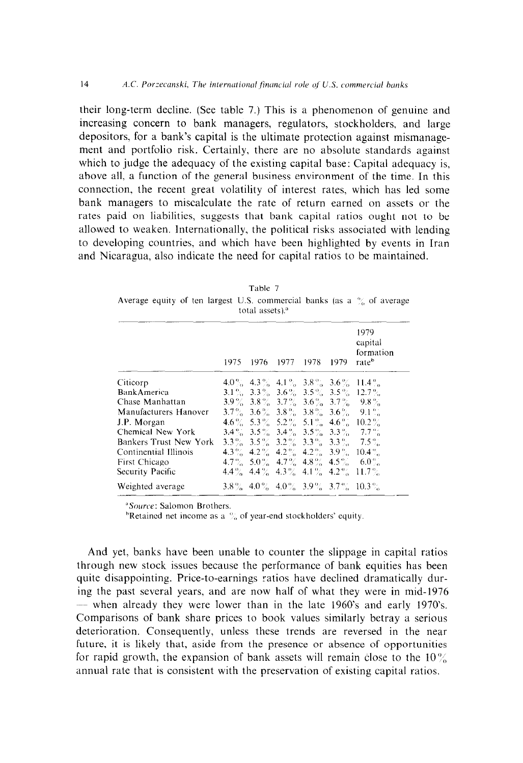$14$ 

their long-term decline. (See table 7.) This is a phenomenon of genuine and increasing concern to bank managers, regulators, stockholders, and large depositors, for a bank's capital is the ultimate protection against mismanagement and portfolio risk. Certainly, there are no absolute standards against which to judge the adequacy of the existing capital base: Capital adequacy is, above all, a function of the general business environment of the time. In this connection, the recent great volatility of interest rates, which has led some bank managers to miscalculate the rate of return earned on assets or the rates paid on liabilities, suggests that bank capital ratios ought not to be allowed to weaken. Internationally, the political risks associated with lending to developing countries, and which have been highlighted by events in Iran and Nicaragua, also indicate the need for capital ratios to be maintained.

| total assets). <sup>a</sup> |      |  |                |  |        |                                                              |
|-----------------------------|------|--|----------------|--|--------|--------------------------------------------------------------|
|                             | 1975 |  | 1976 1977 1978 |  | - 1979 | 1979<br>capital<br>formation<br>rate <sup>b</sup>            |
| Citicorp                    |      |  |                |  |        | $4.0\%$ $4.3\%$ $4.1\%$ $3.8\%$ $3.6\%$ $11.4\%$             |
| <b>Bank America</b>         |      |  |                |  |        | $3.1\%$ , $3.3\%$ , $3.6\%$ , $3.5\%$ , $3.5\%$ , $12.7\%$ . |
| Chase Manhattan             |      |  |                |  |        | $3.9\%$ $3.8\%$ $3.7\%$ $3.6\%$ $3.7\%$ $9.8\%$              |
| Manufacturers Hanover       |      |  |                |  |        | $3.7\%$ $3.6\%$ $3.8\%$ $3.8\%$ $3.6\%$ $9.1\%$              |
| J.P. Morgan                 |      |  |                |  |        | $4.6\%$ 5.3 % 5.2 % 5.1 % 4.6 % 10.2 %                       |
| Chemical New York           |      |  |                |  |        | $3.4\%$ $3.5\%$ $3.4\%$ $3.5\%$ $3.3\%$ $7.7\%$              |
| Bankers Trust New York      |      |  |                |  |        | $3.3\%$ $3.5\%$ $3.2\%$ $3.3\%$ $3.3\%$ $7.5\%$              |
| Continential Illinois       |      |  |                |  |        | $4.3\%$ $4.2\%$ $4.2\%$ $4.2\%$ $3.9\%$ $10.4\%$             |
| First Chicago               |      |  |                |  |        | $4.7\%$ 5.0% $4.7\%$ 4.8% $4.5\%$ 6.0%                       |
| Security Pacific            |      |  |                |  |        | $4.4\%$ $4.4\%$ $4.3\%$ $4.1\%$ $4.2\%$ $11.7\%$             |
| Weighted average            |      |  |                |  |        | $3.8\%$ 4.0% 4.0% $3.9\%$ 3.7% 10.3%                         |

Table 7 Average equity of ten largest U.S. commercial banks (as a  $\frac{6}{6}$  of average

"Source: Salomon Brothers.

<sup>b</sup>Retained net income as a  $\frac{67}{6}$  of year-end stockholders' equity.

And yet, banks have been unable to counter the slippage in capital ratios through new stock issues because the performance of bank equities has been quite disappointing. Price-to-earnings ratios have declined dramatically during the past several years, and are now half of what they were in mid-1976 — when already they were lower than in the late 1960's and early 1970's. Comparisons of bank share prices to book values similarly betray a serious deterioration. Consequently, unless these trends are reversed in the near future, it is likely that, aside from the presence or absence of opportunities for rapid growth, the expansion of bank assets will remain close to the  $10\%$ annual rate that is consistent with the preservation of existing capital ratios.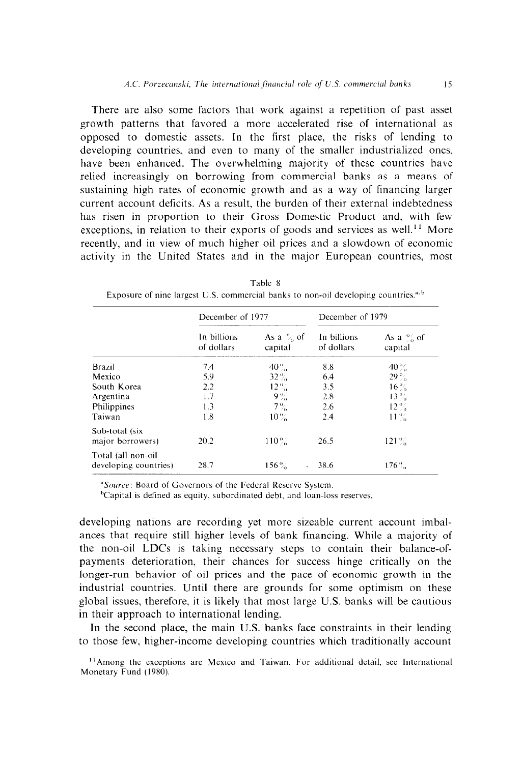There are also some factors that work against a repetition of past asset growth patterns that favored a more accelerated rise of international as opposed to domestic assets. In the first place, the risks of lending to developing countries, and even to many of the smaller industrialized ones, have been enhanced. The overwhelming majority of these countries have relied increasingly on borrowing from commercial banks as a means of sustaining high rates of economic growth and as a way of financing larger current account deficits. As a result, the burden of their external indebtedness has risen in proportion to their Gross Domestic Product and. with few exceptions, in relation to their exports of goods and services as well.<sup>11</sup> More recently, and in view of much higher oil prices and a slowdown of economic activity in the United States and in the major European countries, most

|                                             | December of 1977          |                                 | December of 1979          |                         |  |
|---------------------------------------------|---------------------------|---------------------------------|---------------------------|-------------------------|--|
|                                             | In billions<br>of dollars | As a $\%$ of<br>capital         | In billions<br>of dollars | As a $\%$ of<br>capital |  |
| Brazil                                      | 7.4                       | $40\%$                          | 8.8                       | $40\%$                  |  |
| Mexico                                      | 5.9                       | $32\%$                          | 6.4                       | $29 \%$                 |  |
| South Korea                                 | 2.2                       | $12\%$                          | 3.5                       | $16\%$                  |  |
| Argentina                                   | 1.7                       | $9\%$                           | 2.8                       | $13\%$                  |  |
| Philippines                                 | 1.3                       | $7\%$                           | 2.6                       | $12\%$                  |  |
| Taiwan                                      | 1.8                       | $10\%$                          | 2.4                       | $11\%$                  |  |
| Sub-total (six<br>major borrowers)          | 20.2                      | $110\%$                         | 26.5                      | $121\%$                 |  |
| Total (all non-oil<br>developing countries) | 28.7                      | $156\%$<br>$\ddot{\phantom{0}}$ | 38.6                      | $176\%$                 |  |

Table 8 Exposure of nine largest U.S. commercial banks to non-oil developing countries.<sup>4, b</sup>

<sup>a</sup>Source: Board of Governors of the Federal Reserve System.

<sup>b</sup>Capital is defined as equity, subordinated debt, and loan-loss reserves.

developing nations are recording yet more sizeable current account imbalances that require still higher levels of bank financing. While a majority of the non-oil LDCs is taking necessary steps to contain their balance-ofpayments deterioration, their chances for success hinge critically on the longer-run behavior of oil prices and the pace of economic growth in the industrial countries. Until there are grounds for some optimism on these global issues, therefore, it is likely that most large U.S. banks will be cautious in their approach to international lending.

In the second place, the main U.S. banks face constraints in their lending to those few, higher-income developing countries which traditionally account

 $11$ Among the exceptions are Mexico and Taiwan. For additional detail, see International Monetary Fund (1980).